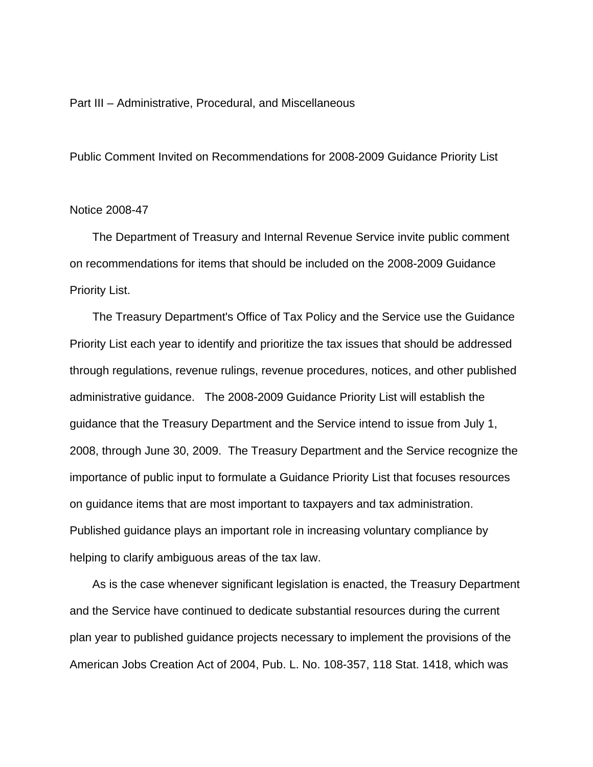## Part III – Administrative, Procedural, and Miscellaneous

Public Comment Invited on Recommendations for 2008-2009 Guidance Priority List

## Notice 2008-47

 The Department of Treasury and Internal Revenue Service invite public comment on recommendations for items that should be included on the 2008-2009 Guidance Priority List.

 The Treasury Department's Office of Tax Policy and the Service use the Guidance Priority List each year to identify and prioritize the tax issues that should be addressed through regulations, revenue rulings, revenue procedures, notices, and other published administrative guidance. The 2008-2009 Guidance Priority List will establish the guidance that the Treasury Department and the Service intend to issue from July 1, 2008, through June 30, 2009. The Treasury Department and the Service recognize the importance of public input to formulate a Guidance Priority List that focuses resources on guidance items that are most important to taxpayers and tax administration. Published guidance plays an important role in increasing voluntary compliance by helping to clarify ambiguous areas of the tax law.

 As is the case whenever significant legislation is enacted, the Treasury Department and the Service have continued to dedicate substantial resources during the current plan year to published guidance projects necessary to implement the provisions of the American Jobs Creation Act of 2004, Pub. L. No. 108-357, 118 Stat. 1418, which was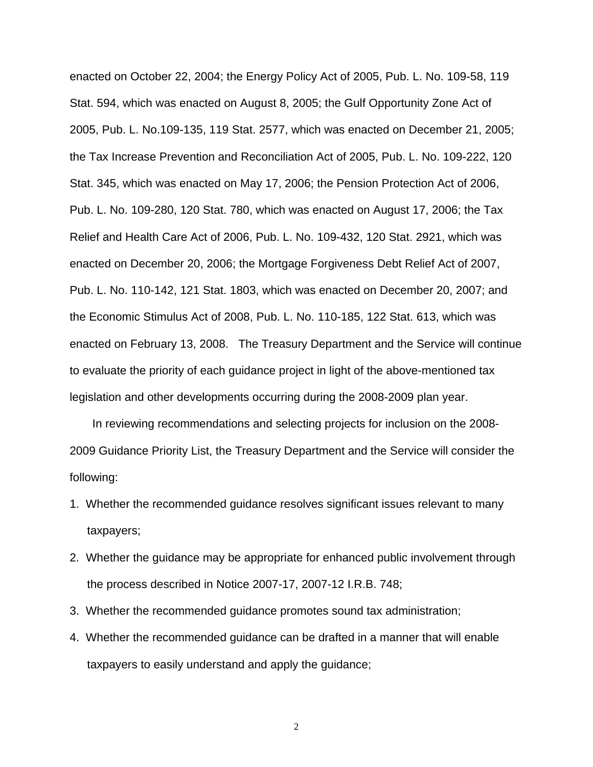enacted on October 22, 2004; the Energy Policy Act of 2005, Pub. L. No. 109-58, 119 Stat. 594, which was enacted on August 8, 2005; the Gulf Opportunity Zone Act of 2005, Pub. L. No.109-135, 119 Stat. 2577, which was enacted on December 21, 2005; the Tax Increase Prevention and Reconciliation Act of 2005, Pub. L. No. 109-222, 120 Stat. 345, which was enacted on May 17, 2006; the Pension Protection Act of 2006, Pub. L. No. 109-280, 120 Stat. 780, which was enacted on August 17, 2006; the Tax Relief and Health Care Act of 2006, Pub. L. No. 109-432, 120 Stat. 2921, which was enacted on December 20, 2006; the Mortgage Forgiveness Debt Relief Act of 2007, Pub. L. No. 110-142, 121 Stat. 1803, which was enacted on December 20, 2007; and the Economic Stimulus Act of 2008, Pub. L. No. 110-185, 122 Stat. 613, which was enacted on February 13, 2008. The Treasury Department and the Service will continue to evaluate the priority of each guidance project in light of the above-mentioned tax legislation and other developments occurring during the 2008-2009 plan year.

 In reviewing recommendations and selecting projects for inclusion on the 2008- 2009 Guidance Priority List, the Treasury Department and the Service will consider the following:

- 1. Whether the recommended guidance resolves significant issues relevant to many taxpayers;
- 2. Whether the guidance may be appropriate for enhanced public involvement through the process described in Notice 2007-17, 2007-12 I.R.B. 748;
- 3. Whether the recommended guidance promotes sound tax administration;
- 4. Whether the recommended guidance can be drafted in a manner that will enable taxpayers to easily understand and apply the guidance;

2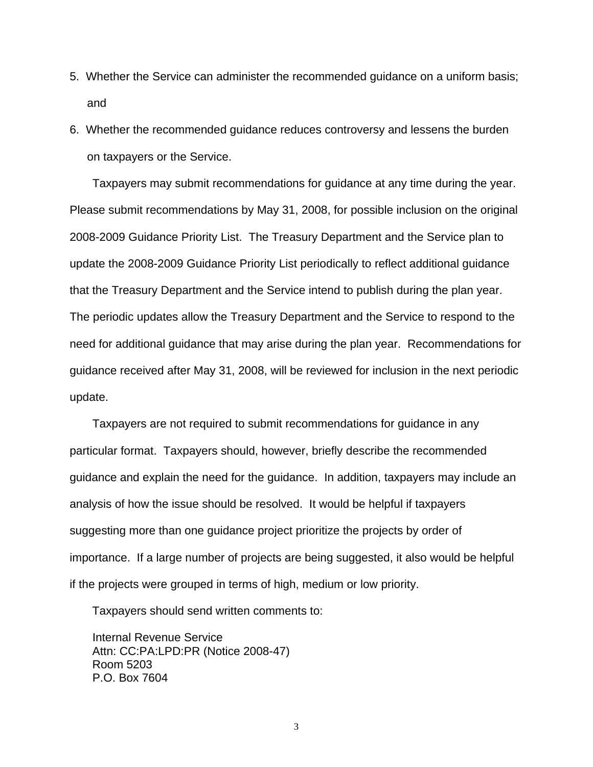- 5. Whether the Service can administer the recommended guidance on a uniform basis; and
- 6. Whether the recommended guidance reduces controversy and lessens the burden on taxpayers or the Service.

 Taxpayers may submit recommendations for guidance at any time during the year. Please submit recommendations by May 31, 2008, for possible inclusion on the original 2008-2009 Guidance Priority List. The Treasury Department and the Service plan to update the 2008-2009 Guidance Priority List periodically to reflect additional guidance that the Treasury Department and the Service intend to publish during the plan year. The periodic updates allow the Treasury Department and the Service to respond to the need for additional guidance that may arise during the plan year. Recommendations for guidance received after May 31, 2008, will be reviewed for inclusion in the next periodic update.

 Taxpayers are not required to submit recommendations for guidance in any particular format. Taxpayers should, however, briefly describe the recommended guidance and explain the need for the guidance. In addition, taxpayers may include an analysis of how the issue should be resolved. It would be helpful if taxpayers suggesting more than one guidance project prioritize the projects by order of importance. If a large number of projects are being suggested, it also would be helpful if the projects were grouped in terms of high, medium or low priority.

Taxpayers should send written comments to:

 Internal Revenue Service Attn: CC:PA:LPD:PR (Notice 2008-47) Room 5203 P.O. Box 7604

3